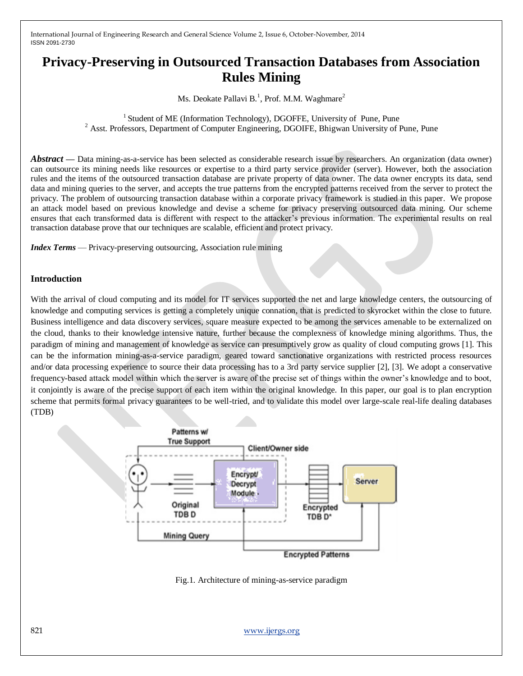# **Privacy-Preserving in Outsourced Transaction Databases from Association Rules Mining**

Ms. Deokate Pallavi B.<sup>1</sup>, Prof. M.M. Waghmare<sup>2</sup>

<sup>1</sup> Student of ME (Information Technology), DGOFFE, University of Pune, Pune <sup>2</sup> Asst. Professors, Department of Computer Engineering, DGOIFE, Bhigwan University of Pune, Pune

*Abstract* — Data mining-as-a-service has been selected as considerable research issue by researchers. An organization (data owner) can outsource its mining needs like resources or expertise to a third party service provider (server). However, both the association rules and the items of the outsourced transaction database are private property of data owner. The data owner encrypts its data, send data and mining queries to the server, and accepts the true patterns from the encrypted patterns received from the server to protect the privacy. The problem of outsourcing transaction database within a corporate privacy framework is studied in this paper. We propose an attack model based on previous knowledge and devise a scheme for privacy preserving outsourced data mining. Our scheme ensures that each transformed data is different with respect to the attacker's previous information. The experimental results on real transaction database prove that our techniques are scalable, efficient and protect privacy.

*Index Terms* — Privacy-preserving outsourcing, Association rule mining

## **Introduction**

With the arrival of cloud computing and its model for IT services supported the net and large knowledge centers, the outsourcing of knowledge and computing services is getting a completely unique connation, that is predicted to skyrocket within the close to future. Business intelligence and data discovery services, square measure expected to be among the services amenable to be externalized on the cloud, thanks to their knowledge intensive nature, further because the complexness of knowledge mining algorithms. Thus, the paradigm of mining and management of knowledge as service can presumptively grow as quality of cloud computing grows [1]. This can be the information mining-as-a-service paradigm, geared toward sanctionative organizations with restricted process resources and/or data processing experience to source their data processing has to a 3rd party service supplier [2], [3]. We adopt a conservative frequency-based attack model within which the server is aware of the precise set of things within the owner's knowledge and to boot, it conjointly is aware of the precise support of each item within the original knowledge. In this paper, our goal is to plan encryption scheme that permits formal privacy guarantees to be well-tried, and to validate this model over large-scale real-life dealing databases (TDB)



Fig.1. Architecture of mining-as-service paradigm

821 www.ijergs.org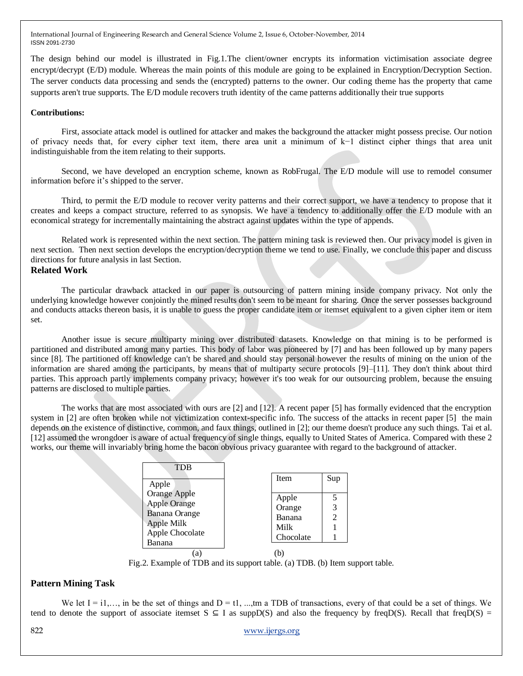The design behind our model is illustrated in Fig.1.The client/owner encrypts its information victimisation associate degree encrypt/decrypt (E/D) module. Whereas the main points of this module are going to be explained in Encryption/Decryption Section. The server conducts data processing and sends the (encrypted) patterns to the owner. Our coding theme has the property that came supports aren't true supports. The E/D module recovers truth identity of the came patterns additionally their true supports

#### **Contributions:**

First, associate attack model is outlined for attacker and makes the background the attacker might possess precise. Our notion of privacy needs that, for every cipher text item, there area unit a minimum of k−1 distinct cipher things that area unit indistinguishable from the item relating to their supports.

Second, we have developed an encryption scheme, known as RobFrugal. The E/D module will use to remodel consumer information before it's shipped to the server.

Third, to permit the E/D module to recover verity patterns and their correct support, we have a tendency to propose that it creates and keeps a compact structure, referred to as synopsis. We have a tendency to additionally offer the E/D module with an economical strategy for incrementally maintaining the abstract against updates within the type of appends.

Related work is represented within the next section. The pattern mining task is reviewed then. Our privacy model is given in next section. Then next section develops the encryption/decryption theme we tend to use. Finally, we conclude this paper and discuss directions for future analysis in last Section.

## **Related Work**

The particular drawback attacked in our paper is outsourcing of pattern mining inside company privacy. Not only the underlying knowledge however conjointly the mined results don't seem to be meant for sharing. Once the server possesses background and conducts attacks thereon basis, it is unable to guess the proper candidate item or itemset equivalent to a given cipher item or item set.

Another issue is secure multiparty mining over distributed datasets. Knowledge on that mining is to be performed is partitioned and distributed among many parties. This body of labor was pioneered by [7] and has been followed up by many papers since [8]. The partitioned off knowledge can't be shared and should stay personal however the results of mining on the union of the information are shared among the participants, by means that of multiparty secure protocols [9]–[11]. They don't think about third parties. This approach partly implements company privacy; however it's too weak for our outsourcing problem, because the ensuing patterns are disclosed to multiple parties.

The works that are most associated with ours are [2] and [12]. A recent paper [5] has formally evidenced that the encryption system in [2] are often broken while not victimization context-specific info. The success of the attacks in recent paper [5] the main depends on the existence of distinctive, common, and faux things, outlined in [2]; our theme doesn't produce any such things. Tai et al. [12] assumed the wrongdoer is aware of actual frequency of single things, equally to United States of America. Compared with these 2 works, our theme will invariably bring home the bacon obvious privacy guarantee with regard to the background of attacker.

| TDB                                |             |     |
|------------------------------------|-------------|-----|
| Apple                              | <b>Item</b> | Sup |
| Orange Apple                       | Apple       |     |
| <b>Apple Orange</b>                | Orange      | 3   |
| <b>Banana</b> Orange<br>Apple Milk | Banana      | 2   |
| Apple Chocolate                    | Milk        |     |
| Banana                             | Chocolate   |     |
|                                    |             |     |

Fig.2. Example of TDB and its support table. (a) TDB. (b) Item support table.

# **Pattern Mining Task**

We let  $I = i1,...$ , in be the set of things and  $D = t1, ...,$ tm a TDB of transactions, every of that could be a set of things. We tend to denote the support of associate itemset  $S \subseteq I$  as suppD(S) and also the frequency by freqD(S). Recall that freqD(S) =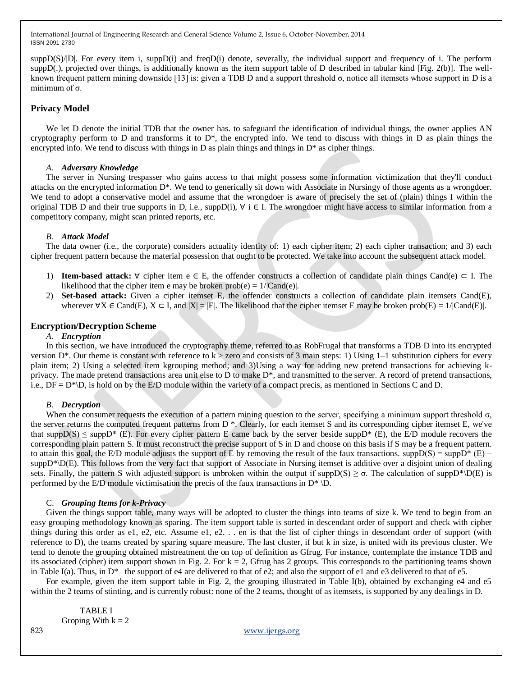$\sup D(S)/|D|$ . For every item i,  $\sup D(i)$  and freq $D(i)$  denote, severally, the individual support and frequency of i. The perform suppD(.), projected over things, is additionally known as the item support table of D described in tabular kind [Fig. 2(b)]. The wellknown frequent pattern mining downside [13] is: given a TDB D and a support threshold  $\sigma$ , notice all itemsets whose support in D is a minimum of  $\sigma$ .

## **Privacy Model**

We let D denote the initial TDB that the owner has. to safeguard the identification of individual things, the owner applies AN cryptography perform to D and transforms it to  $D^*$ , the encrypted info. We tend to discuss with things in D as plain things the encrypted info. We tend to discuss with things in D as plain things and things in  $D^*$  as cipher things.

#### *A. Adversary Knowledge*

The server in Nursing trespasser who gains access to that might possess some information victimization that they'll conduct attacks on the encrypted information D\*. We tend to generically sit down with Associate in Nursingy of those agents as a wrongdoer. We tend to adopt a conservative model and assume that the wrongdoer is aware of precisely the set of (plain) things I within the original TDB D and their true supports in D, i.e., suppD(i),  $\forall$  i  $\in$  I. The wrongdoer might have access to similar information from a competitory company, might scan printed reports, etc.

#### *B. Attack Model*

The data owner (i.e., the corporate) considers actuality identity of: 1) each cipher item; 2) each cipher transaction; and 3) each cipher frequent pattern because the material possession that ought to be protected. We take into account the subsequent attack model.

- 1) **Item-based attack:** ∀ cipher item e ∈ E, the offender constructs a collection of candidate plain things Cand(e) ⊂ I. The likelihood that the cipher item e may be broken  $prob(e) = 1/|Cand(e)|$ .
- 2) **Set-based attack:** Given a cipher itemset E, the offender constructs a collection of candidate plain itemsets Cand(E), wherever  $\forall X \in \text{Cand}(E), X \subset I$ , and  $|X| = |E|$ . The likelihood that the cipher itemset E may be broken prob(E) = 1/|Cand(E)|.

## **Encryption/Decryption Scheme**

#### *A. Encryption*

In this section, we have introduced the cryptography theme, referred to as RobFrugal that transforms a TDB D into its encrypted version  $D^*$ . Our theme is constant with reference to  $k >$  zero and consists of 3 main steps: 1) Using 1–1 substitution ciphers for every plain item; 2) Using a selected item kgrouping method; and 3)Using a way for adding new pretend transactions for achieving kprivacy. The made pretend transactions area unit else to D to make  $D^*$ , and transmitted to the server. A record of pretend transactions, i.e.,  $DF = D^* \backslash D$ , is hold on by the E/D module within the variety of a compact precis, as mentioned in Sections C and D.

#### *B. Decryption*

When the consumer requests the execution of a pattern mining question to the server, specifying a minimum support threshold  $\sigma$ , the server returns the computed frequent patterns from D \*. Clearly, for each itemset S and its corresponding cipher itemset E, we've that supp $D(S) \leq$  supp $D^*$  (E). For every cipher pattern E came back by the server beside supp $D^*$  (E), the E/D module recovers the corresponding plain pattern S. It must reconstruct the precise support of S in D and choose on this basis if S may be a frequent pattern. to attain this goal, the E/D module adjusts the support of E by removing the result of the faux transactions. supp $D(S) = suppD^*(E)$  $\text{suppD*}\D(E)$ . This follows from the very fact that support of Associate in Nursing itemset is additive over a disjoint union of dealing sets. Finally, the pattern S with adjusted support is unbroken within the output if suppD(S)  $\geq \sigma$ . The calculation of suppD\*\D(E) is performed by the E/D module victimisation the precis of the faux transactions in  $D^* \ D$ .

#### C. *Grouping Items for k-Privacy*

Given the things support table, many ways will be adopted to cluster the things into teams of size k. We tend to begin from an easy grouping methodology known as sparing. The item support table is sorted in descendant order of support and check with cipher things during this order as e1, e2, etc. Assume e1, e2. . . en is that the list of cipher things in descendant order of support (with reference to D), the teams created by sparing square measure. The last cluster, if but k in size, is united with its previous cluster. We tend to denote the grouping obtained mistreatment the on top of definition as Gfrug. For instance, contemplate the instance TDB and its associated (cipher) item support shown in Fig. 2. For  $k = 2$ , Gfrug has 2 groups. This corresponds to the partitioning teams shown in Table I(a). Thus, in  $D^*$  the support of e4 are delivered to that of e2; and also the support of e1 and e3 delivered to that of e5.

For example, given the item support table in Fig. 2, the grouping illustrated in Table I(b), obtained by exchanging e4 and e5 within the 2 teams of stinting, and is currently robust: none of the 2 teams, thought of as itemsets, is supported by any dealings in D.

 TABLE I Groping With  $k = 2$ 

823 www.ijergs.org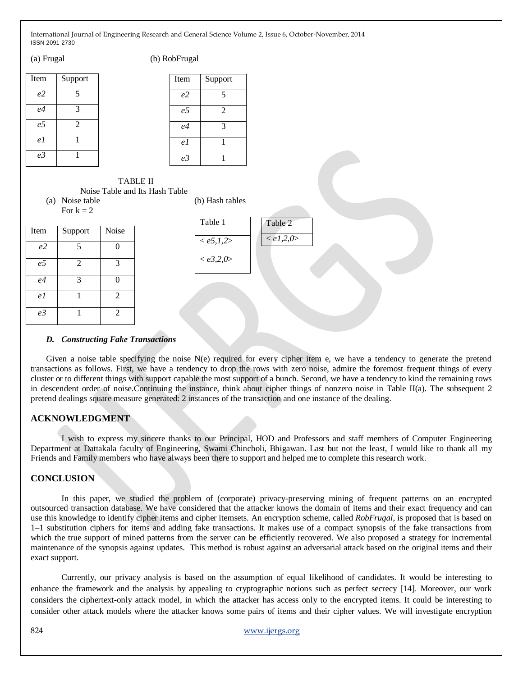| $\mu$ |                |  |
|-------|----------------|--|
| Item  | Support        |  |
| e2    | 5              |  |
| e4    | 3              |  |
| e5    | $\overline{c}$ |  |
| e 1   |                |  |
| e3    |                |  |

(a) Frugal (b) RobFrugal

| <b>Item</b>    | Support |
|----------------|---------|
| e <sub>2</sub> | 5       |
| e5             | 2       |
| e <sub>4</sub> | 3       |
| e 1            |         |
| e3             |         |

#### TABLE II Noise Table and Its Hash Table

(a) Noise table (b) Hash tables For  $k = 2$ 

| Item           | Support        | Noise                 |
|----------------|----------------|-----------------------|
| e <sub>2</sub> | $\overline{5}$ | $\mathbf{0}$          |
| e <sub>5</sub> | 2              | 3                     |
| e4             | 3              | $\boldsymbol{\Omega}$ |
| e 1            |                | 2                     |
| e <sub>3</sub> |                | $\overline{c}$        |

Table 1  $\langle e5,1,2 \rangle$ < *e3,2,0*> Table 2 < *e1,2,0*>

# *D. Constructing Fake Transactions*

Given a noise table specifying the noise N(e) required for every cipher item e, we have a tendency to generate the pretend transactions as follows. First, we have a tendency to drop the rows with zero noise, admire the foremost frequent things of every cluster or to different things with support capable the most support of a bunch. Second, we have a tendency to kind the remaining rows in descendent order of noise.Continuing the instance, think about cipher things of nonzero noise in Table II(a). The subsequent 2 pretend dealings square measure generated: 2 instances of the transaction and one instance of the dealing.

# **ACKNOWLEDGMENT**

I wish to express my sincere thanks to our Principal, HOD and Professors and staff members of Computer Engineering Department at Dattakala faculty of Engineering, Swami Chincholi, Bhigawan. Last but not the least, I would like to thank all my Friends and Family members who have always been there to support and helped me to complete this research work.

# **CONCLUSION**

In this paper, we studied the problem of (corporate) privacy-preserving mining of frequent patterns on an encrypted outsourced transaction database. We have considered that the attacker knows the domain of items and their exact frequency and can use this knowledge to identify cipher items and cipher itemsets. An encryption scheme, called *RobFrugal*, is proposed that is based on 1–1 substitution ciphers for items and adding fake transactions. It makes use of a compact synopsis of the fake transactions from which the true support of mined patterns from the server can be efficiently recovered. We also proposed a strategy for incremental maintenance of the synopsis against updates. This method is robust against an adversarial attack based on the original items and their exact support.

Currently, our privacy analysis is based on the assumption of equal likelihood of candidates. It would be interesting to enhance the framework and the analysis by appealing to cryptographic notions such as perfect secrecy [14]. Moreover, our work considers the ciphertext-only attack model, in which the attacker has access only to the encrypted items. It could be interesting to consider other attack models where the attacker knows some pairs of items and their cipher values. We will investigate encryption